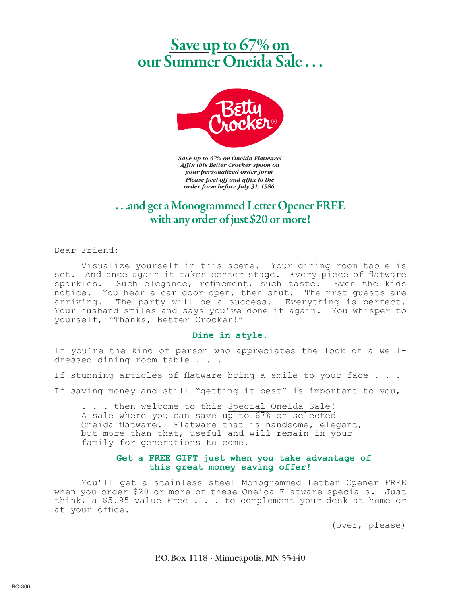# Save up to 67% on<br>our Summer Oneida Sale ...



*Save up to 67% on Oneida Flatware! Affix this Better Crocker spoon on your personalized order form. Please peel off and affix to the order form before July 31, 1986.*

# **.** . .and get a Monogrammed Letter Opener FREE with any order of just \$20 or more!

Dear Friend:

Visualize yourself in this scene. Your dining room table is set. And once again it takes center stage. Every piece of flatware sparkles. Such elegance, refinement, such taste. Even the kids notice. You hear a car door open, then shut. The first guests are arriving. The party will be a success. Everything is perfect. Your husband smiles and says you've done it again. You whisper to yourself, "Thanks, Better Crocker!"

#### **Dine in style.**

If you're the kind of person who appreciates the look of a welldressed dining room table . . .

- If stunning articles of flatware bring a smile to your face . . .
- If saving money and still "getting it best" is important to you,

. . . then welcome to this Special Oneida Sale! A sale where you can save up to 67% on selected Oneida flatware. Flatware that is handsome, elegant, but more than that, useful and will remain in your family for generations to come.

## **Get a FREE GIFT just when you take advantage of this great money saving offer!**

You'll get a stainless steel Monogrammed Letter Opener FREE when you order \$20 or more of these Oneida Flatware specials. Just think, a \$5.95 value Free . . . to complement your desk at home or at your office.

(over, please)

P.O. Box 1118 · Minneapolis, MN 55440